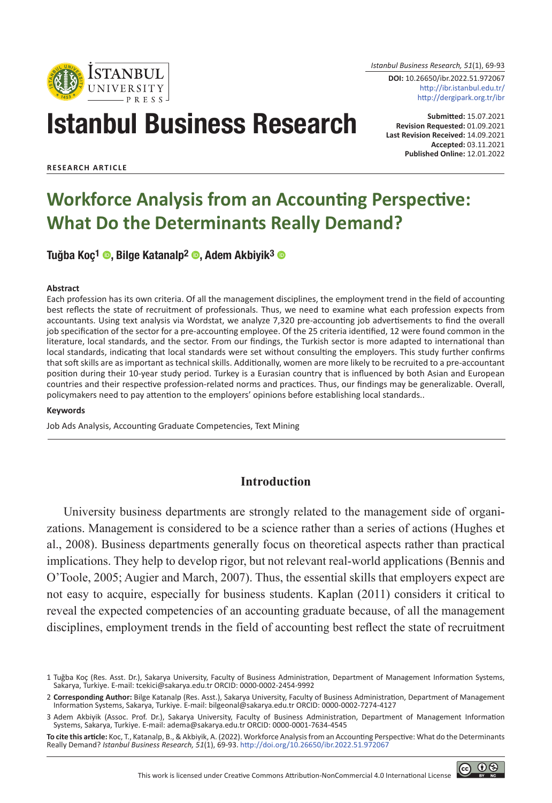

*Istanbul Business Research, 51*(1), 69-93

**DOI:** 10.26650/ibr.2022.51.972067 http://ibr.istanbul.edu.tr/ http://dergipark.org.tr/ibr

# Istanbul Business Research

**Submitted:** 15.07.2021 **Revision Requested:** 01.09.2021 **Last Revision Received:** 14.09.2021 **Accepted:** 03.11.2021 **Published Online:** 12.01.2022

**RESEARCH ARTICLE**

# **Workforce Analysis from an Accounting Perspective: What Do the Determinants Really Demand?**

Tuğba Koç<sup>1</sup> ©, Bilge Katanalp<sup>2</sup> ©, Adem Akbiyik<sup>3</sup> ©

#### **Abstract**

Each profession has its own criteria. Of all the management disciplines, the employment trend in the field of accounting best reflects the state of recruitment of professionals. Thus, we need to examine what each profession expects from accountants. Using text analysis via Wordstat, we analyze 7,320 pre-accounting job advertisements to find the overall job specification of the sector for a pre-accounting employee. Of the 25 criteria identified, 12 were found common in the literature, local standards, and the sector. From our findings, the Turkish sector is more adapted to international than local standards, indicating that local standards were set without consulting the employers. This study further confirms that soft skills are as important as technical skills. Additionally, women are more likely to be recruited to a pre-accountant position during their 10-year study period. Turkey is a Eurasian country that is influenced by both Asian and European countries and their respective profession-related norms and practices. Thus, our findings may be generalizable. Overall, policymakers need to pay attention to the employers' opinions before establishing local standards..

#### **Keywords**

Job Ads Analysis, Accounting Graduate Competencies, Text Mining

# **Introduction**

University business departments are strongly related to the management side of organizations. Management is considered to be a science rather than a series of actions (Hughes et al., 2008). Business departments generally focus on theoretical aspects rather than practical implications. They help to develop rigor, but not relevant real-world applications (Bennis and O'Toole, 2005; Augier and March, 2007). Thus, the essential skills that employers expect are not easy to acquire, especially for business students. Kaplan (2011) considers it critical to reveal the expected competencies of an accounting graduate because, of all the management disciplines, employment trends in the field of accounting best reflect the state of recruitment

**To cite this article:** Koc, T., Katanalp, B., & Akbiyik, A. (2022). Workforce Analysis from an Accounting Perspective: What do the Determinants Really Demand? *Istanbul Business Research, 51*(1), 69-93. http://doi.org/10.26650/ibr.2022.51.972067



<sup>1</sup> Tuğba Koç (Res. Asst. Dr.), Sakarya University, Faculty of Business Administration, Department of Management Information Systems, Sakarya, Turkiye. E-mail: tcekici@sakarya.edu.tr ORCID: 0000-0002-2454-9992

<sup>2</sup> **Corresponding Author:** Bilge Katanalp (Res. Asst.), Sakarya University, Faculty of Business Administration, Department of Management Information Systems, Sakarya, Turkiye. E-mail: bilgeonal@sakarya.edu.tr ORCID: 0000-0002-7274-4127

<sup>3</sup> Adem Akbiyik (Assoc. Prof. Dr.), Sakarya University, Faculty of Business Administration, Department of Management Information Systems, Sakarya, Turkiye. E-mail: adema@sakarya.edu.tr ORCID: 0000-0001-7634-4545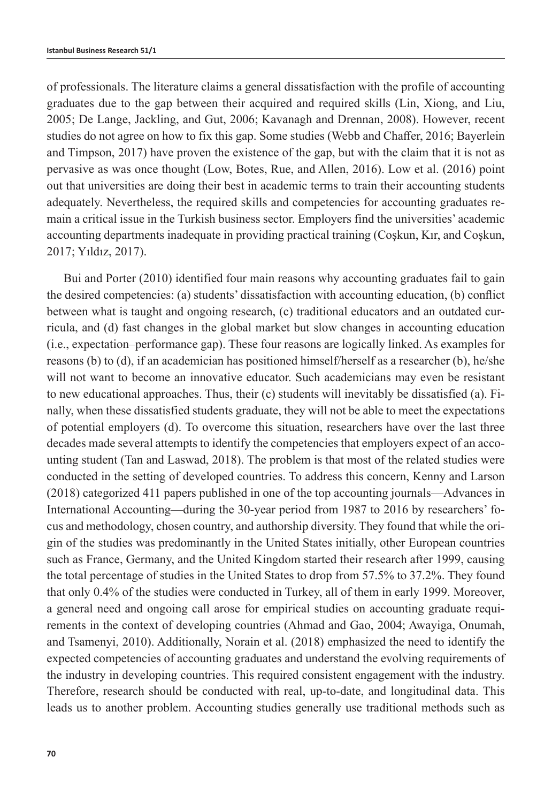of professionals. The literature claims a general dissatisfaction with the profile of accounting graduates due to the gap between their acquired and required skills (Lin, Xiong, and Liu, 2005; De Lange, Jackling, and Gut, 2006; Kavanagh and Drennan, 2008). However, recent studies do not agree on how to fix this gap. Some studies (Webb and Chaffer, 2016; Bayerlein and Timpson, 2017) have proven the existence of the gap, but with the claim that it is not as pervasive as was once thought (Low, Botes, Rue, and Allen, 2016). Low et al. (2016) point out that universities are doing their best in academic terms to train their accounting students adequately. Nevertheless, the required skills and competencies for accounting graduates remain a critical issue in the Turkish business sector. Employers find the universities' academic accounting departments inadequate in providing practical training (Coşkun, Kır, and Coşkun, 2017; Yıldız, 2017).

Bui and Porter (2010) identified four main reasons why accounting graduates fail to gain the desired competencies: (a) students' dissatisfaction with accounting education, (b) conflict between what is taught and ongoing research, (c) traditional educators and an outdated curricula, and (d) fast changes in the global market but slow changes in accounting education (i.e., expectation–performance gap). These four reasons are logically linked. As examples for reasons (b) to (d), if an academician has positioned himself/herself as a researcher (b), he/she will not want to become an innovative educator. Such academicians may even be resistant to new educational approaches. Thus, their (c) students will inevitably be dissatisfied (a). Finally, when these dissatisfied students graduate, they will not be able to meet the expectations of potential employers (d). To overcome this situation, researchers have over the last three decades made several attempts to identify the competencies that employers expect of an accounting student (Tan and Laswad, 2018). The problem is that most of the related studies were conducted in the setting of developed countries. To address this concern, Kenny and Larson (2018) categorized 411 papers published in one of the top accounting journals—Advances in International Accounting—during the 30-year period from 1987 to 2016 by researchers' focus and methodology, chosen country, and authorship diversity. They found that while the origin of the studies was predominantly in the United States initially, other European countries such as France, Germany, and the United Kingdom started their research after 1999, causing the total percentage of studies in the United States to drop from 57.5% to 37.2%. They found that only 0.4% of the studies were conducted in Turkey, all of them in early 1999. Moreover, a general need and ongoing call arose for empirical studies on accounting graduate requirements in the context of developing countries (Ahmad and Gao, 2004; Awayiga, Onumah, and Tsamenyi, 2010). Additionally, Norain et al. (2018) emphasized the need to identify the expected competencies of accounting graduates and understand the evolving requirements of the industry in developing countries. This required consistent engagement with the industry. Therefore, research should be conducted with real, up-to-date, and longitudinal data. This leads us to another problem. Accounting studies generally use traditional methods such as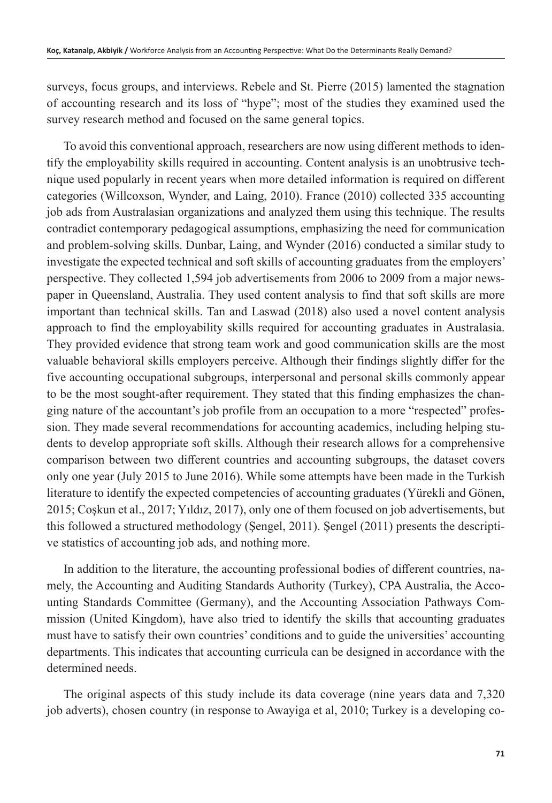surveys, focus groups, and interviews. Rebele and St. Pierre (2015) lamented the stagnation of accounting research and its loss of "hype"; most of the studies they examined used the survey research method and focused on the same general topics.

To avoid this conventional approach, researchers are now using different methods to identify the employability skills required in accounting. Content analysis is an unobtrusive technique used popularly in recent years when more detailed information is required on different categories (Willcoxson, Wynder, and Laing, 2010). France (2010) collected 335 accounting job ads from Australasian organizations and analyzed them using this technique. The results contradict contemporary pedagogical assumptions, emphasizing the need for communication and problem-solving skills. Dunbar, Laing, and Wynder (2016) conducted a similar study to investigate the expected technical and soft skills of accounting graduates from the employers' perspective. They collected 1,594 job advertisements from 2006 to 2009 from a major newspaper in Queensland, Australia. They used content analysis to find that soft skills are more important than technical skills. Tan and Laswad (2018) also used a novel content analysis approach to find the employability skills required for accounting graduates in Australasia. They provided evidence that strong team work and good communication skills are the most valuable behavioral skills employers perceive. Although their findings slightly differ for the five accounting occupational subgroups, interpersonal and personal skills commonly appear to be the most sought-after requirement. They stated that this finding emphasizes the changing nature of the accountant's job profile from an occupation to a more "respected" profession. They made several recommendations for accounting academics, including helping students to develop appropriate soft skills. Although their research allows for a comprehensive comparison between two different countries and accounting subgroups, the dataset covers only one year (July 2015 to June 2016). While some attempts have been made in the Turkish literature to identify the expected competencies of accounting graduates (Yürekli and Gönen, 2015; Coşkun et al., 2017; Yıldız, 2017), only one of them focused on job advertisements, but this followed a structured methodology (Şengel, 2011). Şengel (2011) presents the descriptive statistics of accounting job ads, and nothing more.

In addition to the literature, the accounting professional bodies of different countries, namely, the Accounting and Auditing Standards Authority (Turkey), CPA Australia, the Accounting Standards Committee (Germany), and the Accounting Association Pathways Commission (United Kingdom), have also tried to identify the skills that accounting graduates must have to satisfy their own countries' conditions and to guide the universities' accounting departments. This indicates that accounting curricula can be designed in accordance with the determined needs.

The original aspects of this study include its data coverage (nine years data and 7,320 job adverts), chosen country (in response to Awayiga et al, 2010; Turkey is a developing co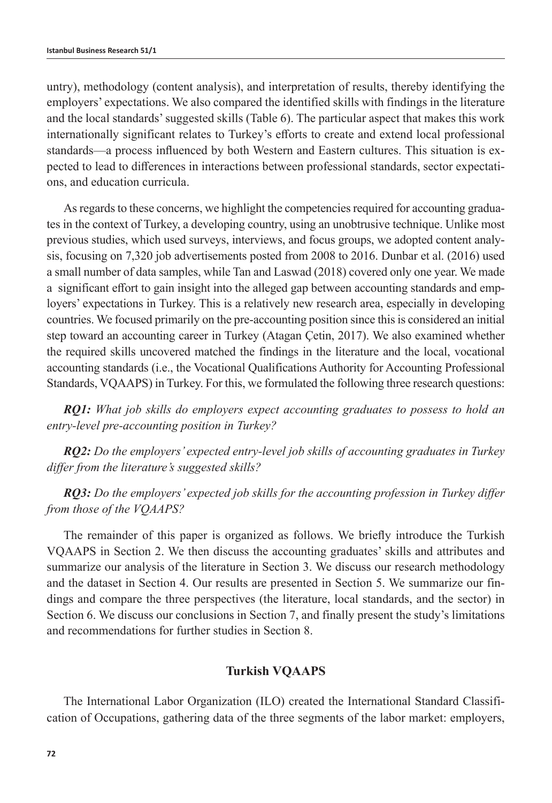untry), methodology (content analysis), and interpretation of results, thereby identifying the employers' expectations. We also compared the identified skills with findings in the literature and the local standards' suggested skills (Table 6). The particular aspect that makes this work internationally significant relates to Turkey's efforts to create and extend local professional standards—a process influenced by both Western and Eastern cultures. This situation is expected to lead to differences in interactions between professional standards, sector expectations, and education curricula.

As regards to these concerns, we highlight the competencies required for accounting graduates in the context of Turkey, a developing country, using an unobtrusive technique. Unlike most previous studies, which used surveys, interviews, and focus groups, we adopted content analysis, focusing on 7,320 job advertisements posted from 2008 to 2016. Dunbar et al. (2016) used a small number of data samples, while Tan and Laswad (2018) covered only one year. We made a significant effort to gain insight into the alleged gap between accounting standards and employers' expectations in Turkey. This is a relatively new research area, especially in developing countries. We focused primarily on the pre-accounting position since this is considered an initial step toward an accounting career in Turkey (Atagan Çetin, 2017). We also examined whether the required skills uncovered matched the findings in the literature and the local, vocational accounting standards (i.e., the Vocational Qualifications Authority for Accounting Professional Standards, VQAAPS) in Turkey. For this, we formulated the following three research questions:

*RQ1: What job skills do employers expect accounting graduates to possess to hold an entry-level pre-accounting position in Turkey?*

*RQ2: Do the employers' expected entry-level job skills of accounting graduates in Turkey differ from the literature's suggested skills?*

*RQ3: Do the employers' expected job skills for the accounting profession in Turkey differ from those of the VQAAPS?*

The remainder of this paper is organized as follows. We briefly introduce the Turkish VQAAPS in Section 2. We then discuss the accounting graduates' skills and attributes and summarize our analysis of the literature in Section 3. We discuss our research methodology and the dataset in Section 4. Our results are presented in Section 5. We summarize our findings and compare the three perspectives (the literature, local standards, and the sector) in Section 6. We discuss our conclusions in Section 7, and finally present the study's limitations and recommendations for further studies in Section 8.

### **Turkish VQAAPS**

The International Labor Organization (ILO) created the International Standard Classification of Occupations, gathering data of the three segments of the labor market: employers,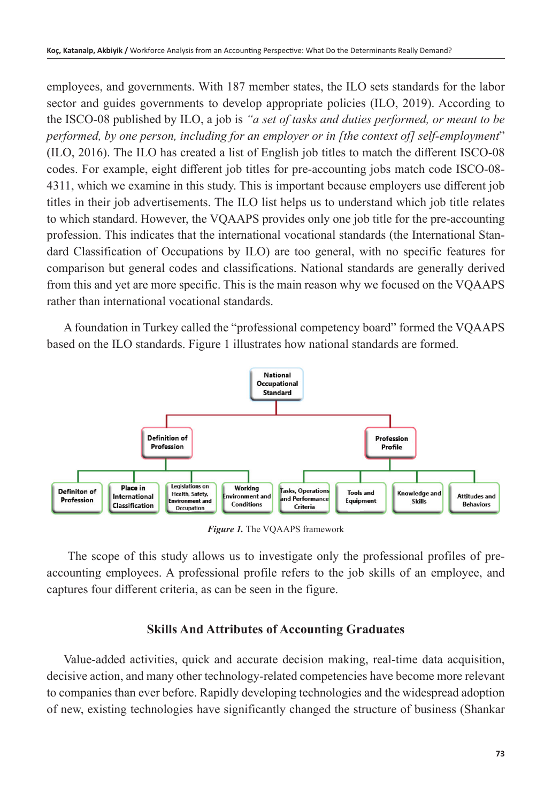employees, and governments. With 187 member states, the ILO sets standards for the labor sector and guides governments to develop appropriate policies (ILO, 2019). According to the ISCO-08 published by ILO, a job is *"a set of tasks and duties performed, or meant to be performed, by one person, including for an employer or in [the context of] self-employment*" (ILO, 2016). The ILO has created a list of English job titles to match the different ISCO-08 codes. For example, eight different job titles for pre-accounting jobs match code ISCO-08- 4311, which we examine in this study. This is important because employers use different job titles in their job advertisements. The ILO list helps us to understand which job title relates to which standard. However, the VQAAPS provides only one job title for the pre-accounting profession. This indicates that the international vocational standards (the International Standard Classification of Occupations by ILO) are too general, with no specific features for comparison but general codes and classifications. National standards are generally derived from this and yet are more specific. This is the main reason why we focused on the VQAAPS rather than international vocational standards.

A foundation in Turkey called the "professional competency board" formed the VQAAPS based on the ILO standards. Figure 1 illustrates how national standards are formed.



*Figure 1.* The VQAAPS framework

 The scope of this study allows us to investigate only the professional profiles of preaccounting employees. A professional profile refers to the job skills of an employee, and captures four different criteria, as can be seen in the figure.

#### **Skills And Attributes of Accounting Graduates**

Value-added activities, quick and accurate decision making, real-time data acquisition, decisive action, and many other technology-related competencies have become more relevant to companies than ever before. Rapidly developing technologies and the widespread adoption of new, existing technologies have significantly changed the structure of business (Shankar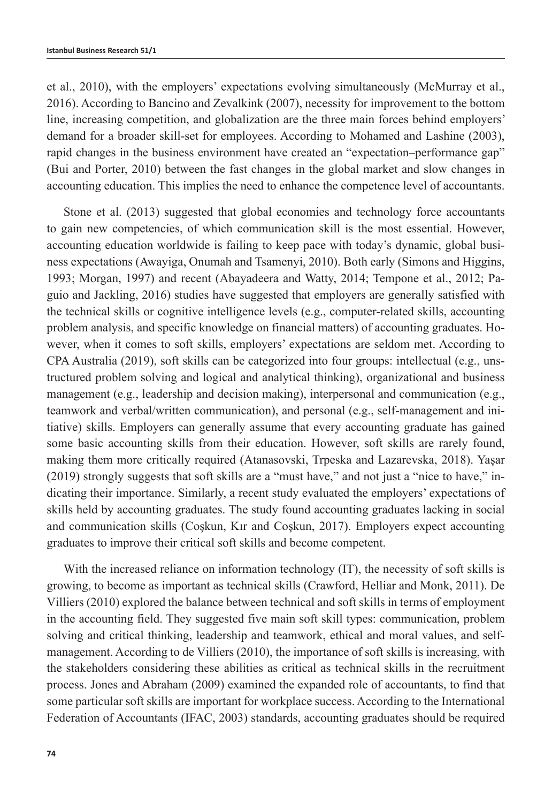et al., 2010), with the employers' expectations evolving simultaneously (McMurray et al., 2016). According to Bancino and Zevalkink (2007), necessity for improvement to the bottom line, increasing competition, and globalization are the three main forces behind employers' demand for a broader skill-set for employees. According to Mohamed and Lashine (2003), rapid changes in the business environment have created an "expectation–performance gap" (Bui and Porter, 2010) between the fast changes in the global market and slow changes in accounting education. This implies the need to enhance the competence level of accountants.

Stone et al. (2013) suggested that global economies and technology force accountants to gain new competencies, of which communication skill is the most essential. However, accounting education worldwide is failing to keep pace with today's dynamic, global business expectations (Awayiga, Onumah and Tsamenyi, 2010). Both early (Simons and Higgins, 1993; Morgan, 1997) and recent (Abayadeera and Watty, 2014; Tempone et al., 2012; Paguio and Jackling, 2016) studies have suggested that employers are generally satisfied with the technical skills or cognitive intelligence levels (e.g., computer-related skills, accounting problem analysis, and specific knowledge on financial matters) of accounting graduates. However, when it comes to soft skills, employers' expectations are seldom met. According to CPA Australia (2019), soft skills can be categorized into four groups: intellectual (e.g., unstructured problem solving and logical and analytical thinking), organizational and business management (e.g., leadership and decision making), interpersonal and communication (e.g., teamwork and verbal/written communication), and personal (e.g., self-management and initiative) skills. Employers can generally assume that every accounting graduate has gained some basic accounting skills from their education. However, soft skills are rarely found, making them more critically required (Atanasovski, Trpeska and Lazarevska, 2018). Yaşar (2019) strongly suggests that soft skills are a "must have," and not just a "nice to have," indicating their importance. Similarly, a recent study evaluated the employers' expectations of skills held by accounting graduates. The study found accounting graduates lacking in social and communication skills (Coşkun, Kır and Coşkun, 2017). Employers expect accounting graduates to improve their critical soft skills and become competent.

With the increased reliance on information technology (IT), the necessity of soft skills is growing, to become as important as technical skills (Crawford, Helliar and Monk, 2011). De Villiers (2010) explored the balance between technical and soft skills in terms of employment in the accounting field. They suggested five main soft skill types: communication, problem solving and critical thinking, leadership and teamwork, ethical and moral values, and selfmanagement. According to de Villiers (2010), the importance of soft skills is increasing, with the stakeholders considering these abilities as critical as technical skills in the recruitment process. Jones and Abraham (2009) examined the expanded role of accountants, to find that some particular soft skills are important for workplace success. According to the International Federation of Accountants (IFAC, 2003) standards, accounting graduates should be required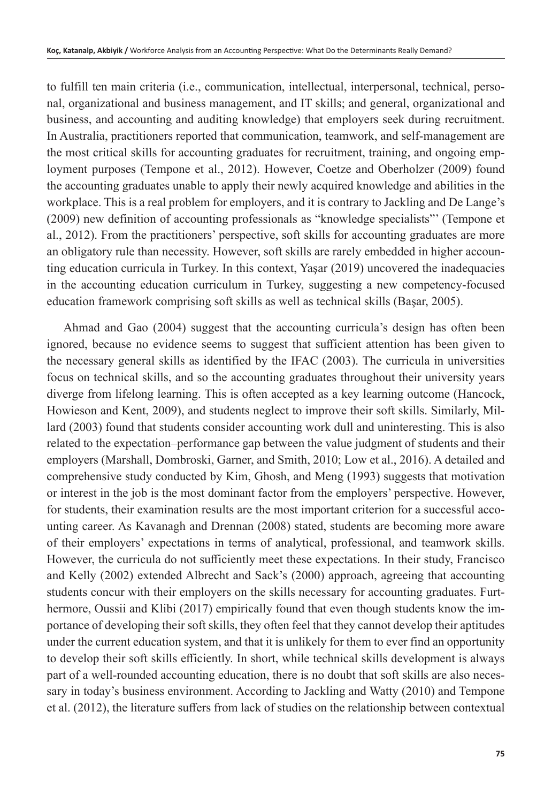to fulfill ten main criteria (i.e., communication, intellectual, interpersonal, technical, personal, organizational and business management, and IT skills; and general, organizational and business, and accounting and auditing knowledge) that employers seek during recruitment. In Australia, practitioners reported that communication, teamwork, and self-management are the most critical skills for accounting graduates for recruitment, training, and ongoing employment purposes (Tempone et al., 2012). However, Coetze and Oberholzer (2009) found the accounting graduates unable to apply their newly acquired knowledge and abilities in the workplace. This is a real problem for employers, and it is contrary to Jackling and De Lange's (2009) new definition of accounting professionals as "knowledge specialists"' (Tempone et al., 2012). From the practitioners' perspective, soft skills for accounting graduates are more an obligatory rule than necessity. However, soft skills are rarely embedded in higher accounting education curricula in Turkey. In this context, Yaşar (2019) uncovered the inadequacies in the accounting education curriculum in Turkey, suggesting a new competency-focused education framework comprising soft skills as well as technical skills (Başar, 2005).

Ahmad and Gao (2004) suggest that the accounting curricula's design has often been ignored, because no evidence seems to suggest that sufficient attention has been given to the necessary general skills as identified by the IFAC (2003). The curricula in universities focus on technical skills, and so the accounting graduates throughout their university years diverge from lifelong learning. This is often accepted as a key learning outcome (Hancock, Howieson and Kent, 2009), and students neglect to improve their soft skills. Similarly, Millard (2003) found that students consider accounting work dull and uninteresting. This is also related to the expectation–performance gap between the value judgment of students and their employers (Marshall, Dombroski, Garner, and Smith, 2010; Low et al., 2016). A detailed and comprehensive study conducted by Kim, Ghosh, and Meng (1993) suggests that motivation or interest in the job is the most dominant factor from the employers' perspective. However, for students, their examination results are the most important criterion for a successful accounting career. As Kavanagh and Drennan (2008) stated, students are becoming more aware of their employers' expectations in terms of analytical, professional, and teamwork skills. However, the curricula do not sufficiently meet these expectations. In their study, Francisco and Kelly (2002) extended Albrecht and Sack's (2000) approach, agreeing that accounting students concur with their employers on the skills necessary for accounting graduates. Furthermore, Oussii and Klibi (2017) empirically found that even though students know the importance of developing their soft skills, they often feel that they cannot develop their aptitudes under the current education system, and that it is unlikely for them to ever find an opportunity to develop their soft skills efficiently. In short, while technical skills development is always part of a well-rounded accounting education, there is no doubt that soft skills are also necessary in today's business environment. According to Jackling and Watty (2010) and Tempone et al. (2012), the literature suffers from lack of studies on the relationship between contextual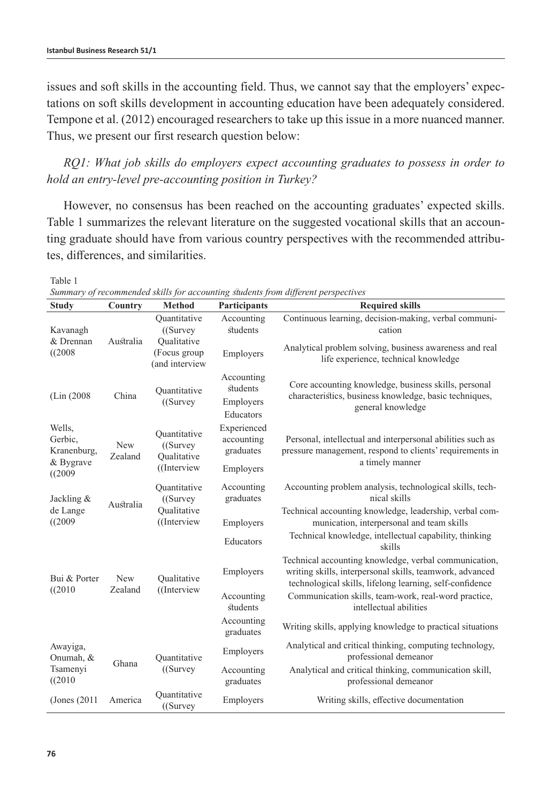Table 1

issues and soft skills in the accounting field. Thus, we cannot say that the employers' expectations on soft skills development in accounting education have been adequately considered. Tempone et al. (2012) encouraged researchers to take up this issue in a more nuanced manner. Thus, we present our first research question below:

*RQ1: What job skills do employers expect accounting graduates to possess in order to hold an entry-level pre-accounting position in Turkey?*

However, no consensus has been reached on the accounting graduates' expected skills. Table 1 summarizes the relevant literature on the suggested vocational skills that an accounting graduate should have from various country perspectives with the recommended attributes, differences, and similarities.

| <b>Study</b>                                              | Country               | <b>Method</b>                                                                | Participants                           | <b>Required skills</b>                                                                                                                                                        |  |  |  |
|-----------------------------------------------------------|-----------------------|------------------------------------------------------------------------------|----------------------------------------|-------------------------------------------------------------------------------------------------------------------------------------------------------------------------------|--|--|--|
| Kavanagh                                                  | Australia             | Quantitative<br>$($ (Survey<br>Oualitative<br>(Focus group<br>(and interview | Accounting<br>students                 | Continuous learning, decision-making, verbal communi-<br>cation                                                                                                               |  |  |  |
| & Drennan<br>((2008                                       |                       |                                                                              | Employers                              | Analytical problem solving, business awareness and real<br>life experience, technical knowledge                                                                               |  |  |  |
|                                                           |                       | Quantitative                                                                 | Accounting<br>students                 | Core accounting knowledge, business skills, personal                                                                                                                          |  |  |  |
| (Lin (2008)<br>China                                      |                       | $($ (Survey                                                                  | Employers<br>Educators                 | characteristics, business knowledge, basic techniques,<br>general knowledge                                                                                                   |  |  |  |
| Wells,<br>Gerbic,<br><b>New</b><br>Kranenburg,<br>Zealand |                       | Quantitative<br>$($ (Survey<br>Qualitative                                   | Experienced<br>accounting<br>graduates | Personal, intellectual and interpersonal abilities such as<br>pressure management, respond to clients' requirements in                                                        |  |  |  |
| & Bygrave<br>((2009)                                      |                       | ((Interview                                                                  | Employers                              | a timely manner                                                                                                                                                               |  |  |  |
| Jackling &                                                | Australia             | Ouantitative<br>((Survey)<br>Oualitative<br>((Interview                      | Accounting<br>graduates                | Accounting problem analysis, technological skills, tech-<br>nical skills                                                                                                      |  |  |  |
| de Lange<br>((2009                                        |                       |                                                                              | Employers                              | Technical accounting knowledge, leadership, verbal com-<br>munication, interpersonal and team skills                                                                          |  |  |  |
|                                                           |                       |                                                                              | Educators                              | Technical knowledge, intellectual capability, thinking<br>skills                                                                                                              |  |  |  |
| Bui & Porter<br>((2010)                                   | <b>New</b><br>Zealand | Oualitative<br>((Interview                                                   | Employers                              | Technical accounting knowledge, verbal communication,<br>writing skills, interpersonal skills, teamwork, advanced<br>technological skills, lifelong learning, self-confidence |  |  |  |
|                                                           |                       |                                                                              | Accounting<br>students                 | Communication skills, team-work, real-word practice,<br>intellectual abilities                                                                                                |  |  |  |
|                                                           |                       |                                                                              | Accounting<br>graduates                | Writing skills, applying knowledge to practical situations                                                                                                                    |  |  |  |
| Awayiga,<br>Onumah, &<br>Tsamenyi<br>((2010)              | Ghana                 | Quantitative<br>$($ (Survey                                                  | Employers                              | Analytical and critical thinking, computing technology,<br>professional demeanor                                                                                              |  |  |  |
|                                                           |                       |                                                                              | Accounting<br>graduates                | Analytical and critical thinking, communication skill,<br>professional demeanor                                                                                               |  |  |  |
| (Jones (2011)                                             | America               | Quantitative<br>$($ (Survey                                                  | Employers                              | Writing skills, effective documentation                                                                                                                                       |  |  |  |

*Summary of recommended skills for accounting students from different perspectives*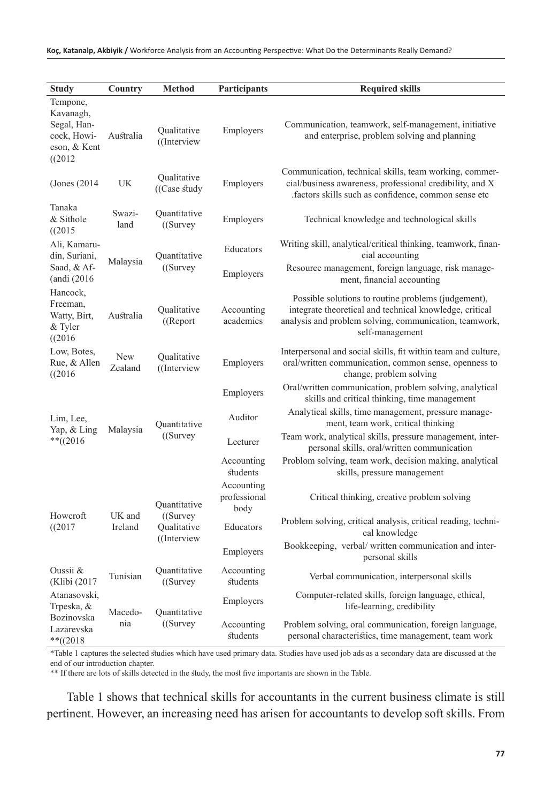| <b>Study</b>                                                                   | Country               | <b>Method</b>                                             | Participants                       | <b>Required skills</b>                                                                                                                                                                      |  |  |
|--------------------------------------------------------------------------------|-----------------------|-----------------------------------------------------------|------------------------------------|---------------------------------------------------------------------------------------------------------------------------------------------------------------------------------------------|--|--|
| Tempone,<br>Kavanagh,<br>Segal, Han-<br>cock, Howi-<br>eson, & Kent<br>((2012) | Australia             | Qualitative<br>((Interview                                | Employers                          | Communication, teamwork, self-management, initiative<br>and enterprise, problem solving and planning                                                                                        |  |  |
| (Jones $(2014)$                                                                | UK                    | Qualitative<br>((Case study)                              | Employers                          | Communication, technical skills, team working, commer-<br>cial/business awareness, professional credibility, and X<br>factors skills such as confidence, common sense etc.                  |  |  |
| Tanaka<br>& Sithole<br>((2015                                                  | Swazi-<br>land        | Quantitative<br>$($ (Survey                               | Employers                          | Technical knowledge and technological skills                                                                                                                                                |  |  |
| Ali, Kamaru-<br>din, Suriani,                                                  | Malaysia              | Quantitative<br>$($ (Survey                               | Educators                          | Writing skill, analytical/critical thinking, teamwork, finan-<br>cial accounting                                                                                                            |  |  |
| Saad, & Af-<br>(andi (2016                                                     |                       |                                                           | Employers                          | Resource management, foreign language, risk manage-<br>ment, financial accounting                                                                                                           |  |  |
| Hancock,<br>Freeman,<br>Watty, Birt,<br>& Tyler<br>((2016)                     | Australia             | Qualitative<br>$(($ Report                                | Accounting<br>academics            | Possible solutions to routine problems (judgement),<br>integrate theoretical and technical knowledge, critical<br>analysis and problem solving, communication, teamwork,<br>self-management |  |  |
| Low, Botes,<br>Rue, & Allen<br>((2016)                                         | <b>New</b><br>Zealand | Oualitative<br>((Interview)                               | Employers                          | Interpersonal and social skills, fit within team and culture,<br>oral/written communication, common sense, openness to<br>change, problem solving                                           |  |  |
| Lim, Lee,<br>Yap, & Ling<br>** $((2016$                                        | Malaysia              | Quantitative<br>$($ (Survey                               | Employers                          | Oral/written communication, problem solving, analytical<br>skills and critical thinking, time management                                                                                    |  |  |
|                                                                                |                       |                                                           | Auditor                            | Analytical skills, time management, pressure manage-<br>ment, team work, critical thinking                                                                                                  |  |  |
|                                                                                |                       |                                                           | Lecturer                           | Team work, analytical skills, pressure management, inter-<br>personal skills, oral/written communication                                                                                    |  |  |
|                                                                                |                       |                                                           | Accounting<br>students             | Problom solving, team work, decision making, analytical<br>skills, pressure management                                                                                                      |  |  |
|                                                                                | UK and<br>Ireland     | Quantitative<br>$($ (Survey<br>Oualitative<br>((Interview | Accounting<br>professional<br>body | Critical thinking, creative problem solving                                                                                                                                                 |  |  |
| Howcroft<br>((2017                                                             |                       |                                                           | Educators                          | Problem solving, critical analysis, critical reading, techni-<br>cal knowledge                                                                                                              |  |  |
|                                                                                |                       |                                                           | Employers                          | Bookkeeping, verbal/written communication and inter-<br>personal skills                                                                                                                     |  |  |
| Oussii &<br>(Klibi (2017                                                       | Tunisian              | Ouantitative<br>$($ (Survey                               | Accounting<br>students             | Verbal communication, interpersonal skills                                                                                                                                                  |  |  |
| Atanasovski,<br>Trpeska, &                                                     | Macedo-<br>nia        | Quantitative<br>$($ (Survey                               | Employers                          | Computer-related skills, foreign language, ethical,<br>life-learning, credibility                                                                                                           |  |  |
| Bozinovska<br>Lazarevska<br>** $((2018$                                        |                       |                                                           | Accounting<br>students             | Problem solving, oral communication, foreign language,<br>personal characteristics, time management, team work                                                                              |  |  |

\*Table 1 captures the selected studies which have used primary data. Studies have used job ads as a secondary data are discussed at the end of our introduction chapter.

\*\* If there are lots of skills detected in the study, the most five importants are shown in the Table.

 Table 1 shows that technical skills for accountants in the current business climate is still pertinent. However, an increasing need has arisen for accountants to develop soft skills. From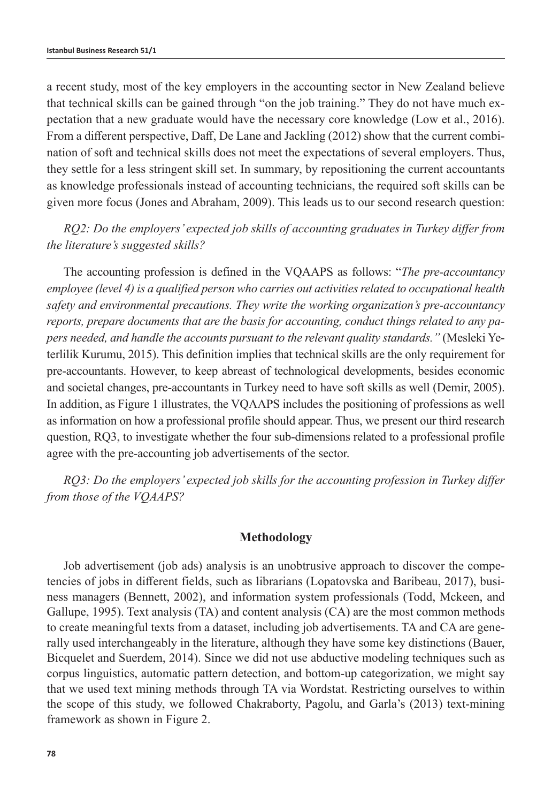a recent study, most of the key employers in the accounting sector in New Zealand believe that technical skills can be gained through "on the job training." They do not have much expectation that a new graduate would have the necessary core knowledge (Low et al., 2016). From a different perspective, Daff, De Lane and Jackling (2012) show that the current combination of soft and technical skills does not meet the expectations of several employers. Thus, they settle for a less stringent skill set. In summary, by repositioning the current accountants as knowledge professionals instead of accounting technicians, the required soft skills can be given more focus (Jones and Abraham, 2009). This leads us to our second research question:

*RQ2: Do the employers' expected job skills of accounting graduates in Turkey differ from the literature's suggested skills?*

The accounting profession is defined in the VQAAPS as follows: "*The pre-accountancy employee (level 4) is a qualified person who carries out activities related to occupational health safety and environmental precautions. They write the working organization's pre-accountancy reports, prepare documents that are the basis for accounting, conduct things related to any papers needed, and handle the accounts pursuant to the relevant quality standards."* (Mesleki Yeterlilik Kurumu, 2015). This definition implies that technical skills are the only requirement for pre-accountants. However, to keep abreast of technological developments, besides economic and societal changes, pre-accountants in Turkey need to have soft skills as well (Demir, 2005). In addition, as Figure 1 illustrates, the VQAAPS includes the positioning of professions as well as information on how a professional profile should appear. Thus, we present our third research question, RQ3, to investigate whether the four sub-dimensions related to a professional profile agree with the pre-accounting job advertisements of the sector.

*RQ3: Do the employers' expected job skills for the accounting profession in Turkey differ from those of the VQAAPS?*

#### **Methodology**

Job advertisement (job ads) analysis is an unobtrusive approach to discover the competencies of jobs in different fields, such as librarians (Lopatovska and Baribeau, 2017), business managers (Bennett, 2002), and information system professionals (Todd, Mckeen, and Gallupe, 1995). Text analysis (TA) and content analysis (CA) are the most common methods to create meaningful texts from a dataset, including job advertisements. TA and CA are generally used interchangeably in the literature, although they have some key distinctions (Bauer, Bicquelet and Suerdem, 2014). Since we did not use abductive modeling techniques such as corpus linguistics, automatic pattern detection, and bottom-up categorization, we might say that we used text mining methods through TA via Wordstat. Restricting ourselves to within the scope of this study, we followed Chakraborty, Pagolu, and Garla's (2013) text-mining framework as shown in Figure 2.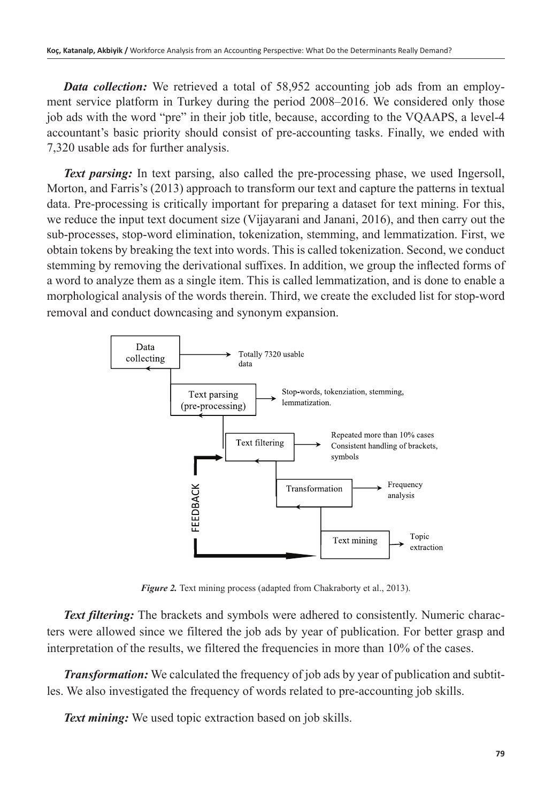*Data collection:* We retrieved a total of 58,952 accounting job ads from an employment service platform in Turkey during the period 2008–2016. We considered only those job ads with the word "pre" in their job title, because, according to the VQAAPS, a level-4 accountant's basic priority should consist of pre-accounting tasks. Finally, we ended with 7,320 usable ads for further analysis.

**Text parsing:** In text parsing, also called the pre-processing phase, we used Ingersoll, Morton, and Farris's (2013) approach to transform our text and capture the patterns in textual data. Pre-processing is critically important for preparing a dataset for text mining. For this, we reduce the input text document size (Vijayarani and Janani, 2016), and then carry out the sub-processes, stop-word elimination, tokenization, stemming, and lemmatization. First, we obtain tokens by breaking the text into words. This is called tokenization. Second, we conduct stemming by removing the derivational suffixes. In addition, we group the inflected forms of a word to analyze them as a single item. This is called lemmatization, and is done to enable a morphological analysis of the words therein. Third, we create the excluded list for stop-word removal and conduct downcasing and synonym expansion.



*Figure 2.* Text mining process (adapted from Chakraborty et al., 2013).

*Text filtering:* The brackets and symbols were adhered to consistently. Numeric characters were allowed since we filtered the job ads by year of publication. For better grasp and interpretation of the results, we filtered the frequencies in more than 10% of the cases.

*Transformation:* We calculated the frequency of job ads by year of publication and subtitles. We also investigated the frequency of words related to pre-accounting job skills.

*Text mining:* We used topic extraction based on job skills.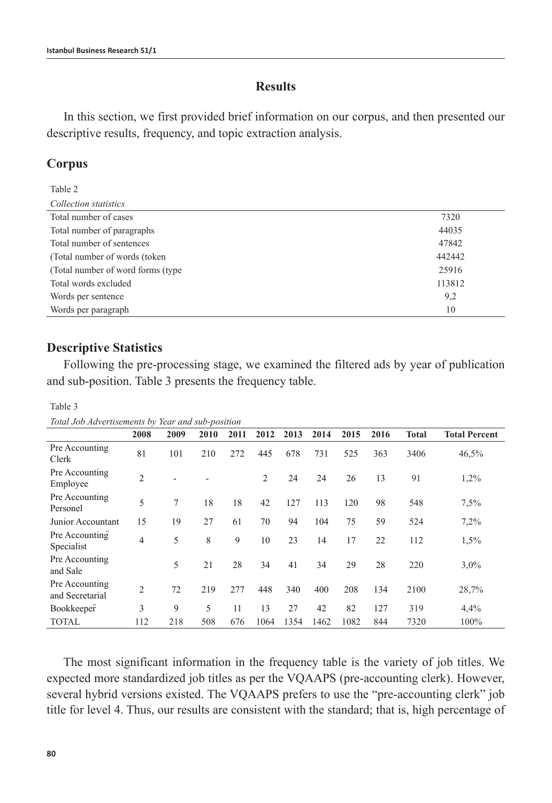#### **Results**

In this section, we first provided brief information on our corpus, and then presented our descriptive results, frequency, and topic extraction analysis.

# **Corpus**

Table 2 *Collection statistics*

| Total number of cases              | 7320   |
|------------------------------------|--------|
| Total number of paragraphs         | 44035  |
| Total number of sentences          | 47842  |
| (Total number of words (token)     | 442442 |
| (Total number of word forms (type) | 25916  |
| Total words excluded               | 113812 |
| Words per sentence                 | 9,2    |
| Words per paragraph                | 10     |
|                                    |        |

# **Descriptive Statistics**

Following the pre-processing stage, we examined the filtered ads by year of publication and sub-position. Table 3 presents the frequency table.

Table 3

*Total Job Advertisements by Year and sub-position*

|                                   | 2008           | 2009 | 2010 | 2011 | 2012           | 2013 | 2014 | 2015 | 2016 | <b>Total</b> | <b>Total Percent</b> |
|-----------------------------------|----------------|------|------|------|----------------|------|------|------|------|--------------|----------------------|
| Pre Accounting<br>Clerk           | 81             | 101  | 210  | 272  | 445            | 678  | 731  | 525  | 363  | 3406         | 46,5%                |
| Pre Accounting<br>Employee        | $\overline{2}$ |      |      |      | $\overline{2}$ | 24   | 24   | 26   | 13   | 91           | 1,2%                 |
| Pre Accounting<br>Personel        | 5              | 7    | 18   | 18   | 42             | 127  | 113  | 120  | 98   | 548          | 7,5%                 |
| Junior Accountant                 | 15             | 19   | 27   | 61   | 70             | 94   | 104  | 75   | 59   | 524          | 7,2%                 |
| Pre Accounting<br>Specialist      | 4              | 5    | 8    | 9    | 10             | 23   | 14   | 17   | 22   | 112          | 1,5%                 |
| Pre Accounting<br>and Sale        |                | 5    | 21   | 28   | 34             | 41   | 34   | 29   | 28   | 220          | 3,0%                 |
| Pre Accounting<br>and Secretarial | $\overline{2}$ | 72   | 219  | 277  | 448            | 340  | 400  | 208  | 134  | 2100         | 28,7%                |
| Bookkeeper                        | 3              | 9    | 5    | 11   | 13             | 27   | 42   | 82   | 127  | 319          | 4,4%                 |
| <b>TOTAL</b>                      | 112            | 218  | 508  | 676  | 1064           | 1354 | 1462 | 1082 | 844  | 7320         | 100%                 |

The most significant information in the frequency table is the variety of job titles. We expected more standardized job titles as per the VQAAPS (pre-accounting clerk). However, several hybrid versions existed. The VQAAPS prefers to use the "pre-accounting clerk" job title for level 4. Thus, our results are consistent with the standard; that is, high percentage of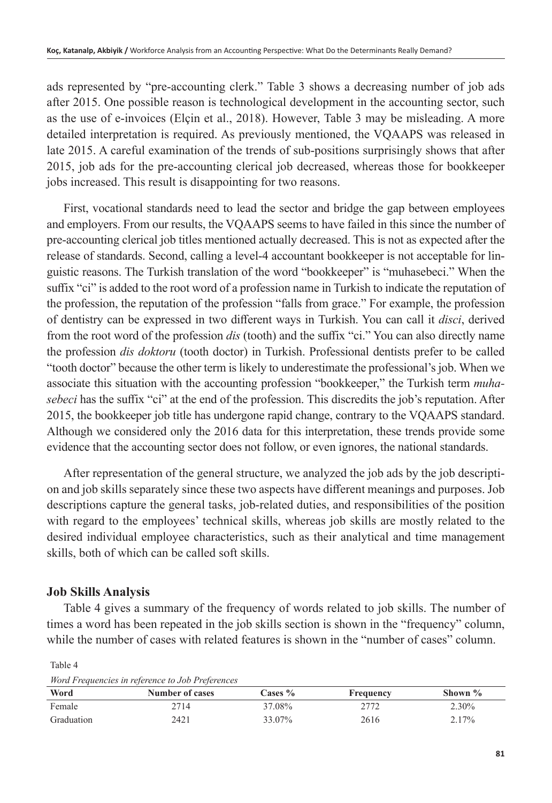ads represented by "pre-accounting clerk." Table 3 shows a decreasing number of job ads after 2015. One possible reason is technological development in the accounting sector, such as the use of e-invoices (Elçin et al., 2018). However, Table 3 may be misleading. A more detailed interpretation is required. As previously mentioned, the VQAAPS was released in late 2015. A careful examination of the trends of sub-positions surprisingly shows that after 2015, job ads for the pre-accounting clerical job decreased, whereas those for bookkeeper jobs increased. This result is disappointing for two reasons.

First, vocational standards need to lead the sector and bridge the gap between employees and employers. From our results, the VQAAPS seems to have failed in this since the number of pre-accounting clerical job titles mentioned actually decreased. This is not as expected after the release of standards. Second, calling a level-4 accountant bookkeeper is not acceptable for linguistic reasons. The Turkish translation of the word "bookkeeper" is "muhasebeci." When the suffix "ci" is added to the root word of a profession name in Turkish to indicate the reputation of the profession, the reputation of the profession "falls from grace." For example, the profession of dentistry can be expressed in two different ways in Turkish. You can call it *disci*, derived from the root word of the profession *dis* (tooth) and the suffix "ci." You can also directly name the profession *dis doktoru* (tooth doctor) in Turkish. Professional dentists prefer to be called "tooth doctor" because the other term is likely to underestimate the professional's job. When we associate this situation with the accounting profession "bookkeeper," the Turkish term *muhasebeci* has the suffix "ci" at the end of the profession. This discredits the job's reputation. After 2015, the bookkeeper job title has undergone rapid change, contrary to the VQAAPS standard. Although we considered only the 2016 data for this interpretation, these trends provide some evidence that the accounting sector does not follow, or even ignores, the national standards.

After representation of the general structure, we analyzed the job ads by the job description and job skills separately since these two aspects have different meanings and purposes. Job descriptions capture the general tasks, job-related duties, and responsibilities of the position with regard to the employees' technical skills, whereas job skills are mostly related to the desired individual employee characteristics, such as their analytical and time management skills, both of which can be called soft skills.

# **Job Skills Analysis**

Table 4 gives a summary of the frequency of words related to job skills. The number of times a word has been repeated in the job skills section is shown in the "frequency" column, while the number of cases with related features is shown in the "number of cases" column.

*Word Frequencies in reference to Job Preferences* **Word Number of cases Cases % Frequency Shown %** Female 2714 2714 37.08% 2772 2.30% Graduation 2421 33.07% 2616 2.17%

Table 4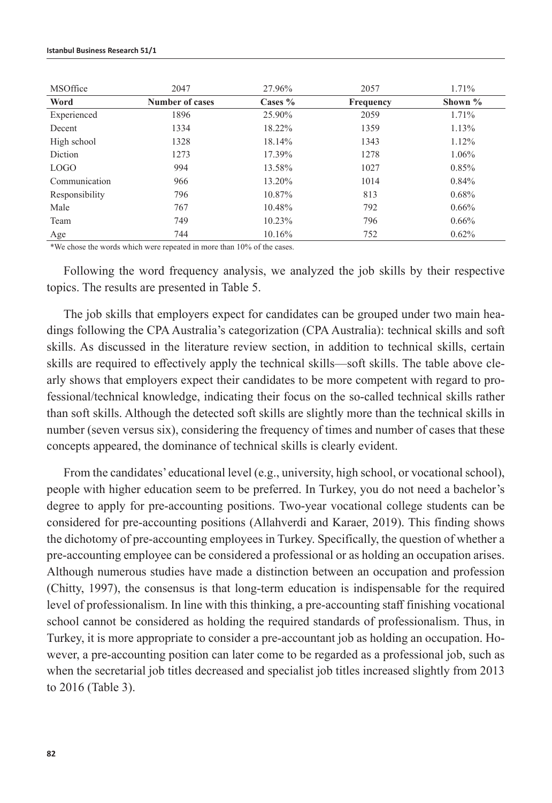| <b>MSOffice</b> | 2047                   | 27.96%    | 2057      | 1.71%      |
|-----------------|------------------------|-----------|-----------|------------|
| Word            | <b>Number of cases</b> | Cases $%$ | Frequency | Shown $\%$ |
| Experienced     | 1896                   | 25.90%    | 2059      | 1.71%      |
| Decent          | 1334                   | 18.22%    | 1359      | 1.13%      |
| High school     | 1328                   | 18.14%    | 1343      | 1.12%      |
| <b>Diction</b>  | 1273                   | 17.39%    | 1278      | 1.06%      |
| <b>LOGO</b>     | 994                    | 13.58%    | 1027      | 0.85%      |
| Communication   | 966                    | 13.20%    | 1014      | 0.84%      |
| Responsibility  | 796                    | 10.87%    | 813       | 0.68%      |
| Male            | 767                    | 10.48%    | 792       | $0.66\%$   |
| Team            | 749                    | 10.23%    | 796       | $0.66\%$   |
| Age             | 744                    | 10.16%    | 752       | 0.62%      |

\*We chose the words which were repeated in more than 10% of the cases.

Following the word frequency analysis, we analyzed the job skills by their respective topics. The results are presented in Table 5.

The job skills that employers expect for candidates can be grouped under two main headings following the CPA Australia's categorization (CPA Australia): technical skills and soft skills. As discussed in the literature review section, in addition to technical skills, certain skills are required to effectively apply the technical skills—soft skills. The table above clearly shows that employers expect their candidates to be more competent with regard to professional/technical knowledge, indicating their focus on the so-called technical skills rather than soft skills. Although the detected soft skills are slightly more than the technical skills in number (seven versus six), considering the frequency of times and number of cases that these concepts appeared, the dominance of technical skills is clearly evident.

From the candidates' educational level (e.g., university, high school, or vocational school), people with higher education seem to be preferred. In Turkey, you do not need a bachelor's degree to apply for pre-accounting positions. Two-year vocational college students can be considered for pre-accounting positions (Allahverdi and Karaer, 2019). This finding shows the dichotomy of pre-accounting employees in Turkey. Specifically, the question of whether a pre-accounting employee can be considered a professional or as holding an occupation arises. Although numerous studies have made a distinction between an occupation and profession (Chitty, 1997), the consensus is that long-term education is indispensable for the required level of professionalism. In line with this thinking, a pre-accounting staff finishing vocational school cannot be considered as holding the required standards of professionalism. Thus, in Turkey, it is more appropriate to consider a pre-accountant job as holding an occupation. However, a pre-accounting position can later come to be regarded as a professional job, such as when the secretarial job titles decreased and specialist job titles increased slightly from 2013 to 2016 (Table 3).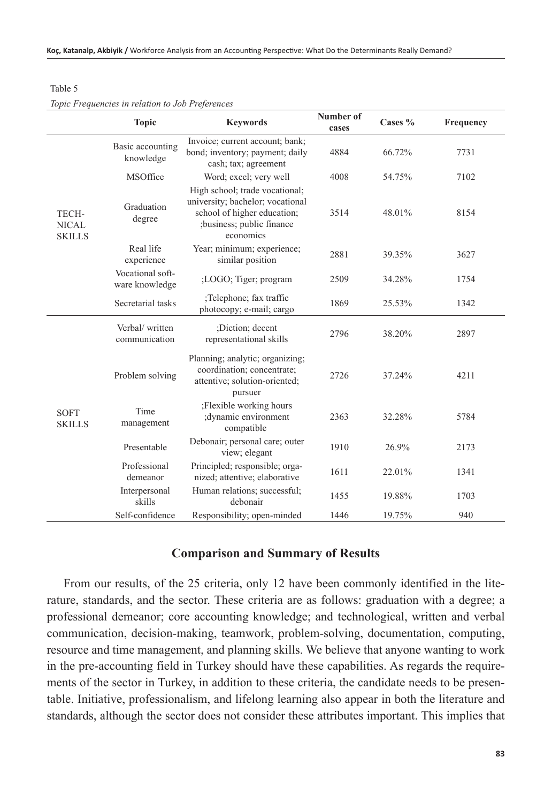#### Table 5

#### *Topic Frequencies in relation to Job Preferences*

|                                        | <b>Topic</b>                       | <b>Keywords</b>                                                                                                                             | Number of<br>cases | Cases $%$ | Frequency |
|----------------------------------------|------------------------------------|---------------------------------------------------------------------------------------------------------------------------------------------|--------------------|-----------|-----------|
|                                        | Basic accounting<br>knowledge      | Invoice; current account; bank;<br>bond; inventory; payment; daily<br>cash; tax; agreement                                                  | 4884               | 66.72%    | 7731      |
|                                        | MSOffice                           | Word; excel; very well                                                                                                                      | 4008               | 54.75%    | 7102      |
| TECH-<br><b>NICAL</b><br><b>SKILLS</b> | Graduation<br>degree               | High school; trade vocational;<br>university; bachelor; vocational<br>school of higher education;<br>;business; public finance<br>economics | 3514               | 48.01%    | 8154      |
|                                        | Real life<br>experience            | Year; minimum; experience;<br>similar position                                                                                              | 2881               | 39.35%    | 3627      |
|                                        | Vocational soft-<br>ware knowledge | ;LOGO; Tiger; program                                                                                                                       | 2509               | 34.28%    | 1754      |
|                                        | Secretarial tasks                  | ;Telephone; fax traffic<br>photocopy; e-mail; cargo                                                                                         | 1869               | 25.53%    | 1342      |
|                                        | Verbal/written<br>communication    | :Diction: decent<br>representational skills                                                                                                 | 2796               | 38.20%    | 2897      |
| <b>SOFT</b><br><b>SKILLS</b>           | Problem solving                    | Planning; analytic; organizing;<br>coordination; concentrate;<br>attentive; solution-oriented;<br>pursuer                                   | 2726               | 37.24%    | 4211      |
|                                        | Time<br>management                 | ;Flexible working hours<br>;dynamic environment<br>compatible                                                                               | 2363               | 32.28%    | 5784      |
|                                        | Presentable                        | Debonair; personal care; outer<br>view; elegant                                                                                             | 1910               | 26.9%     | 2173      |
|                                        | Professional<br>demeanor           | Principled; responsible; orga-<br>nized; attentive; elaborative                                                                             | 1611               | 22.01%    | 1341      |
|                                        | Interpersonal<br>skills            | Human relations; successful;<br>debonair                                                                                                    | 1455               | 19.88%    | 1703      |
|                                        | Self-confidence                    | Responsibility; open-minded                                                                                                                 | 1446               | 19.75%    | 940       |

#### **Comparison and Summary of Results**

From our results, of the 25 criteria, only 12 have been commonly identified in the literature, standards, and the sector. These criteria are as follows: graduation with a degree; a professional demeanor; core accounting knowledge; and technological, written and verbal communication, decision-making, teamwork, problem-solving, documentation, computing, resource and time management, and planning skills. We believe that anyone wanting to work in the pre-accounting field in Turkey should have these capabilities. As regards the requirements of the sector in Turkey, in addition to these criteria, the candidate needs to be presentable. Initiative, professionalism, and lifelong learning also appear in both the literature and standards, although the sector does not consider these attributes important. This implies that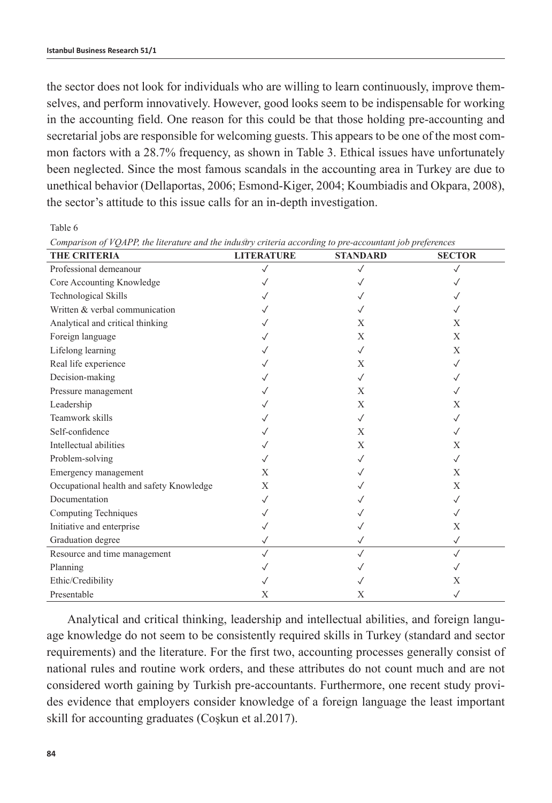the sector does not look for individuals who are willing to learn continuously, improve themselves, and perform innovatively. However, good looks seem to be indispensable for working in the accounting field. One reason for this could be that those holding pre-accounting and secretarial jobs are responsible for welcoming guests. This appears to be one of the most common factors with a 28.7% frequency, as shown in Table 3. Ethical issues have unfortunately been neglected. Since the most famous scandals in the accounting area in Turkey are due to unethical behavior (Dellaportas, 2006; Esmond-Kiger, 2004; Koumbiadis and Okpara, 2008), the sector's attitude to this issue calls for an in-depth investigation.

Table 6

| <b>THE CRITERIA</b>                      | <b>LITERATURE</b> | <b>STANDARD</b> | <b>SECTOR</b> |
|------------------------------------------|-------------------|-----------------|---------------|
| Professional demeanour                   | $\checkmark$      | $\checkmark$    | $\checkmark$  |
| Core Accounting Knowledge                |                   |                 |               |
| Technological Skills                     |                   |                 |               |
| Written & verbal communication           |                   |                 |               |
| Analytical and critical thinking         |                   | X               | X             |
| Foreign language                         |                   | X               | X             |
| Lifelong learning                        |                   | $\checkmark$    | X             |
| Real life experience                     |                   | X               | $\sqrt{}$     |
| Decision-making                          |                   | $\checkmark$    | $\checkmark$  |
| Pressure management                      |                   | X               |               |
| Leadership                               |                   | X               | X             |
| Teamwork skills                          |                   | $\checkmark$    | $\sqrt{}$     |
| Self-confidence                          |                   | X               | $\checkmark$  |
| Intellectual abilities                   |                   | X               | X             |
| Problem-solving                          |                   | $\checkmark$    | $\sqrt{}$     |
| Emergency management                     | X                 |                 | X             |
| Occupational health and safety Knowledge | X                 |                 | X             |
| Documentation                            | $\checkmark$      |                 | $\sqrt{}$     |
| Computing Techniques                     |                   |                 | $\sqrt{}$     |
| Initiative and enterprise                |                   |                 | X             |
| Graduation degree                        | $\checkmark$      |                 | $\checkmark$  |
| Resource and time management             | $\sqrt{}$         | $\checkmark$    | $\sqrt{ }$    |
| Planning                                 |                   |                 |               |
| Ethic/Credibility                        |                   |                 | X             |
| Presentable                              | X                 | X               | $\checkmark$  |

*Comparison of VQAPP, the literature and the industry criteria according to pre-accountant job preferences* 

Analytical and critical thinking, leadership and intellectual abilities, and foreign language knowledge do not seem to be consistently required skills in Turkey (standard and sector requirements) and the literature. For the first two, accounting processes generally consist of national rules and routine work orders, and these attributes do not count much and are not considered worth gaining by Turkish pre-accountants. Furthermore, one recent study provides evidence that employers consider knowledge of a foreign language the least important skill for accounting graduates (Coşkun et al.2017).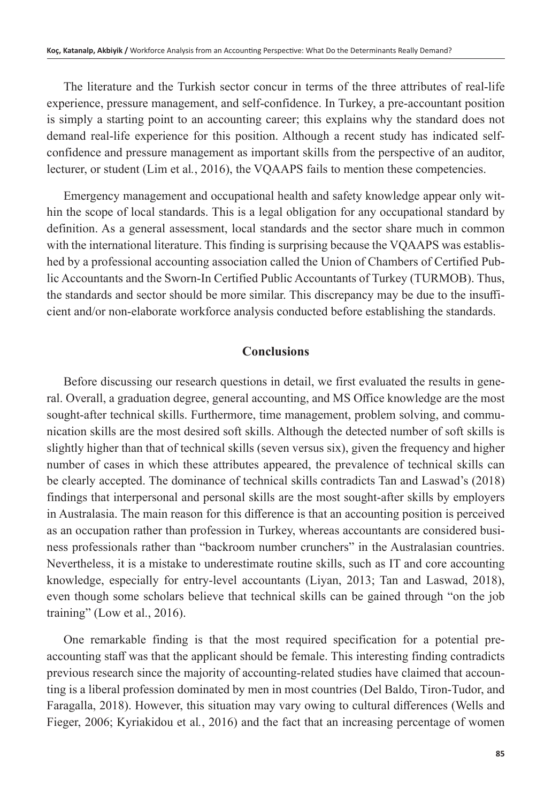The literature and the Turkish sector concur in terms of the three attributes of real-life experience, pressure management, and self-confidence. In Turkey, a pre-accountant position is simply a starting point to an accounting career; this explains why the standard does not demand real-life experience for this position. Although a recent study has indicated selfconfidence and pressure management as important skills from the perspective of an auditor, lecturer, or student (Lim et al*.*, 2016), the VQAAPS fails to mention these competencies.

Emergency management and occupational health and safety knowledge appear only within the scope of local standards. This is a legal obligation for any occupational standard by definition. As a general assessment, local standards and the sector share much in common with the international literature. This finding is surprising because the VQAAPS was established by a professional accounting association called the Union of Chambers of Certified Public Accountants and the Sworn-In Certified Public Accountants of Turkey (TURMOB). Thus, the standards and sector should be more similar. This discrepancy may be due to the insufficient and/or non-elaborate workforce analysis conducted before establishing the standards.

#### **Conclusions**

Before discussing our research questions in detail, we first evaluated the results in general. Overall, a graduation degree, general accounting, and MS Office knowledge are the most sought-after technical skills. Furthermore, time management, problem solving, and communication skills are the most desired soft skills. Although the detected number of soft skills is slightly higher than that of technical skills (seven versus six), given the frequency and higher number of cases in which these attributes appeared, the prevalence of technical skills can be clearly accepted. The dominance of technical skills contradicts Tan and Laswad's (2018) findings that interpersonal and personal skills are the most sought-after skills by employers in Australasia. The main reason for this difference is that an accounting position is perceived as an occupation rather than profession in Turkey, whereas accountants are considered business professionals rather than "backroom number crunchers" in the Australasian countries. Nevertheless, it is a mistake to underestimate routine skills, such as IT and core accounting knowledge, especially for entry-level accountants (Liyan, 2013; Tan and Laswad, 2018), even though some scholars believe that technical skills can be gained through "on the job training" (Low et al., 2016).

One remarkable finding is that the most required specification for a potential preaccounting staff was that the applicant should be female. This interesting finding contradicts previous research since the majority of accounting-related studies have claimed that accounting is a liberal profession dominated by men in most countries (Del Baldo, Tiron-Tudor, and Faragalla, 2018). However, this situation may vary owing to cultural differences (Wells and Fieger, 2006; Kyriakidou et al*.*, 2016) and the fact that an increasing percentage of women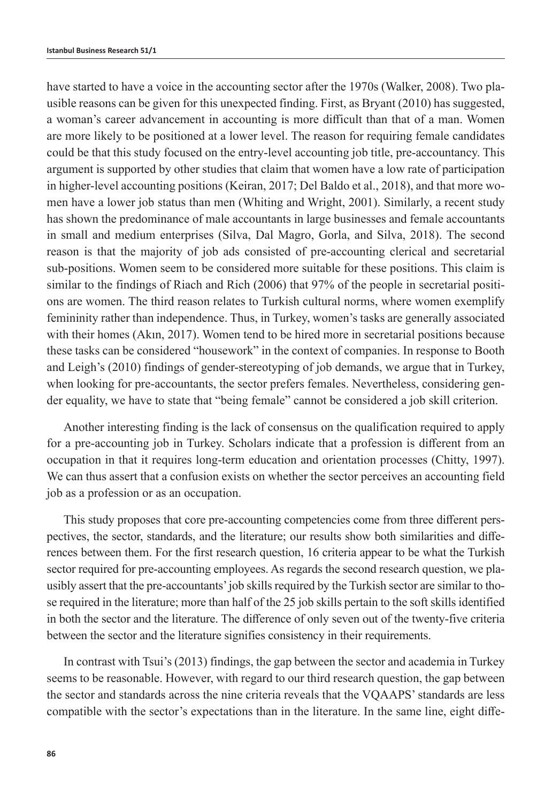have started to have a voice in the accounting sector after the 1970s (Walker, 2008). Two plausible reasons can be given for this unexpected finding. First, as Bryant (2010) has suggested, a woman's career advancement in accounting is more difficult than that of a man. Women are more likely to be positioned at a lower level. The reason for requiring female candidates could be that this study focused on the entry-level accounting job title, pre-accountancy. This argument is supported by other studies that claim that women have a low rate of participation in higher-level accounting positions (Keiran, 2017; Del Baldo et al., 2018), and that more women have a lower job status than men (Whiting and Wright, 2001). Similarly, a recent study has shown the predominance of male accountants in large businesses and female accountants in small and medium enterprises (Silva, Dal Magro, Gorla, and Silva, 2018). The second reason is that the majority of job ads consisted of pre-accounting clerical and secretarial sub-positions. Women seem to be considered more suitable for these positions. This claim is similar to the findings of Riach and Rich (2006) that 97% of the people in secretarial positions are women. The third reason relates to Turkish cultural norms, where women exemplify femininity rather than independence. Thus, in Turkey, women's tasks are generally associated with their homes (Akın, 2017). Women tend to be hired more in secretarial positions because these tasks can be considered "housework" in the context of companies. In response to Booth and Leigh's (2010) findings of gender-stereotyping of job demands, we argue that in Turkey, when looking for pre-accountants, the sector prefers females. Nevertheless, considering gender equality, we have to state that "being female" cannot be considered a job skill criterion.

Another interesting finding is the lack of consensus on the qualification required to apply for a pre-accounting job in Turkey. Scholars indicate that a profession is different from an occupation in that it requires long-term education and orientation processes (Chitty, 1997). We can thus assert that a confusion exists on whether the sector perceives an accounting field job as a profession or as an occupation.

This study proposes that core pre-accounting competencies come from three different perspectives, the sector, standards, and the literature; our results show both similarities and differences between them. For the first research question, 16 criteria appear to be what the Turkish sector required for pre-accounting employees. As regards the second research question, we plausibly assert that the pre-accountants' job skills required by the Turkish sector are similar to those required in the literature; more than half of the 25 job skills pertain to the soft skills identified in both the sector and the literature. The difference of only seven out of the twenty-five criteria between the sector and the literature signifies consistency in their requirements.

In contrast with Tsui's (2013) findings, the gap between the sector and academia in Turkey seems to be reasonable. However, with regard to our third research question, the gap between the sector and standards across the nine criteria reveals that the VQAAPS' standards are less compatible with the sector's expectations than in the literature. In the same line, eight diffe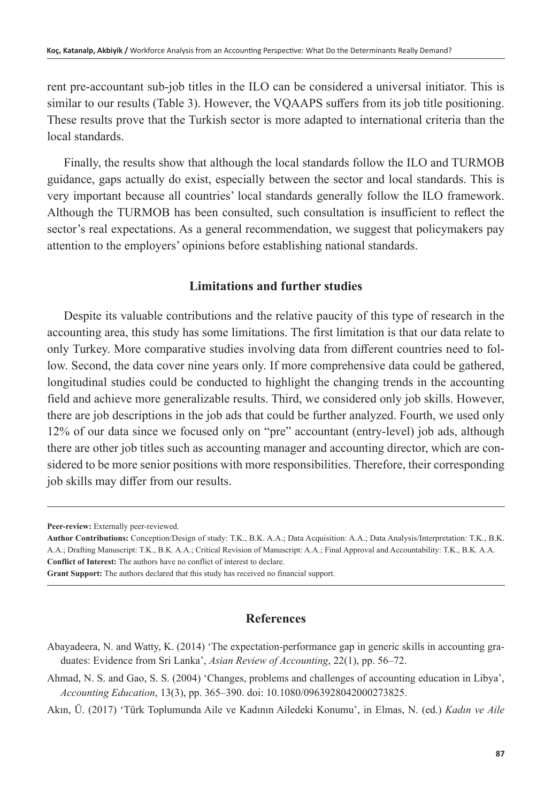rent pre-accountant sub-job titles in the ILO can be considered a universal initiator. This is similar to our results (Table 3). However, the VQAAPS suffers from its job title positioning. These results prove that the Turkish sector is more adapted to international criteria than the local standards.

Finally, the results show that although the local standards follow the ILO and TURMOB guidance, gaps actually do exist, especially between the sector and local standards. This is very important because all countries' local standards generally follow the ILO framework. Although the TURMOB has been consulted, such consultation is insufficient to reflect the sector's real expectations. As a general recommendation, we suggest that policymakers pay attention to the employers' opinions before establishing national standards.

#### **Limitations and further studies**

Despite its valuable contributions and the relative paucity of this type of research in the accounting area, this study has some limitations. The first limitation is that our data relate to only Turkey. More comparative studies involving data from different countries need to follow. Second, the data cover nine years only. If more comprehensive data could be gathered, longitudinal studies could be conducted to highlight the changing trends in the accounting field and achieve more generalizable results. Third, we considered only job skills. However, there are job descriptions in the job ads that could be further analyzed. Fourth, we used only 12% of our data since we focused only on "pre" accountant (entry-level) job ads, although there are other job titles such as accounting manager and accounting director, which are considered to be more senior positions with more responsibilities. Therefore, their corresponding job skills may differ from our results.

**Grant Support:** The authors declared that this study has received no financial support.

#### **References**

- Abayadeera, N. and Watty, K. (2014) 'The expectation-performance gap in generic skills in accounting graduates: Evidence from Sri Lanka', *Asian Review of Accounting*, 22(1), pp. 56–72.
- Ahmad, N. S. and Gao, S. S. (2004) 'Changes, problems and challenges of accounting education in Libya', *Accounting Education*, 13(3), pp. 365–390. doi: 10.1080/0963928042000273825.
- Akın, Ü. (2017) 'Türk Toplumunda Aile ve Kadının Ailedeki Konumu', in Elmas, N. (ed.) *Kadın ve Aile*

**Peer-review:** Externally peer-reviewed.

**Author Contributions:** Conception/Design of study: T.K., B.K. A.A.; Data Acquisition: A.A.; Data Analysis/Interpretation: T.K., B.K. A.A.; Drafting Manuscript: T.K., B.K. A.A.; Critical Revision of Manuscript: A.A.; Final Approval and Accountability: T.K., B.K. A.A. **Conflict of Interest:** The authors have no conflict of interest to declare.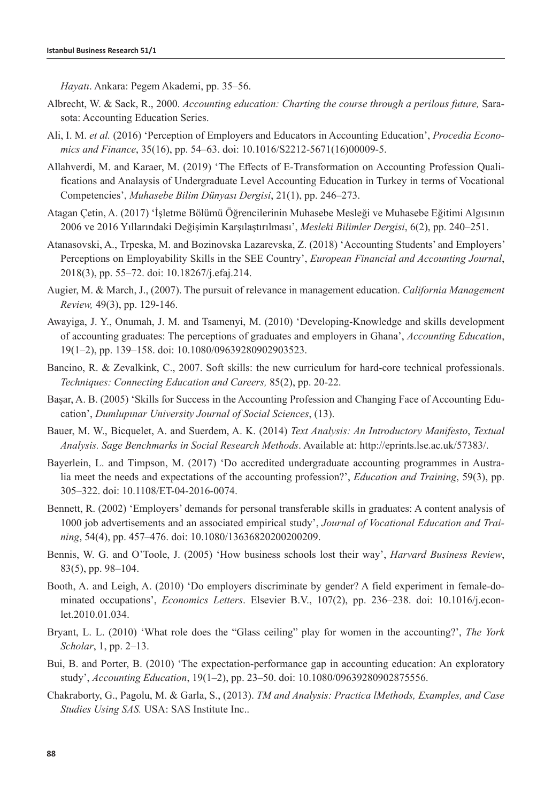*Hayatı*. Ankara: Pegem Akademi, pp. 35–56.

- Albrecht, W. & Sack, R., 2000. *Accounting education: Charting the course through a perilous future,* Sarasota: Accounting Education Series.
- Ali, I. M. *et al.* (2016) 'Perception of Employers and Educators in Accounting Education', *Procedia Economics and Finance*, 35(16), pp. 54–63. doi: 10.1016/S2212-5671(16)00009-5.
- Allahverdi, M. and Karaer, M. (2019) 'The Effects of E-Transformation on Accounting Profession Qualifications and Analaysis of Undergraduate Level Accounting Education in Turkey in terms of Vocational Competencies', *Muhasebe Bilim Dünyası Dergisi*, 21(1), pp. 246–273.
- Atagan Çetin, A. (2017) 'İşletme Bölümü Öğrencilerinin Muhasebe Mesleği ve Muhasebe Eğitimi Algısının 2006 ve 2016 Yıllarındaki Değişimin Karşılaştırılması', *Mesleki Bilimler Dergisi*, 6(2), pp. 240–251.
- Atanasovski, A., Trpeska, M. and Bozinovska Lazarevska, Z. (2018) 'Accounting Students' and Employers' Perceptions on Employability Skills in the SEE Country', *European Financial and Accounting Journal*, 2018(3), pp. 55–72. doi: 10.18267/j.efaj.214.
- Augier, M. & March, J., (2007). The pursuit of relevance in management education. *California Management Review,* 49(3), pp. 129-146.
- Awayiga, J. Y., Onumah, J. M. and Tsamenyi, M. (2010) 'Developing-Knowledge and skills development of accounting graduates: The perceptions of graduates and employers in Ghana', *Accounting Education*, 19(1–2), pp. 139–158. doi: 10.1080/09639280902903523.
- Bancino, R. & Zevalkink, C., 2007. Soft skills: the new curriculum for hard-core technical professionals. *Techniques: Connecting Education and Careers,* 85(2), pp. 20-22.
- Başar, A. B. (2005) 'Skills for Success in the Accounting Profession and Changing Face of Accounting Education', *Dumlupınar University Journal of Social Sciences*, (13).
- Bauer, M. W., Bicquelet, A. and Suerdem, A. K. (2014) *Text Analysis: An Introductory Manifesto*, *Textual Analysis. Sage Benchmarks in Social Research Methods*. Available at: http://eprints.lse.ac.uk/57383/.
- Bayerlein, L. and Timpson, M. (2017) 'Do accredited undergraduate accounting programmes in Australia meet the needs and expectations of the accounting profession?', *Education and Training*, 59(3), pp. 305–322. doi: 10.1108/ET-04-2016-0074.
- Bennett, R. (2002) 'Employers' demands for personal transferable skills in graduates: A content analysis of 1000 job advertisements and an associated empirical study', *Journal of Vocational Education and Training*, 54(4), pp. 457–476. doi: 10.1080/13636820200200209.
- Bennis, W. G. and O'Toole, J. (2005) 'How business schools lost their way', *Harvard Business Review*, 83(5), pp. 98–104.
- Booth, A. and Leigh, A. (2010) 'Do employers discriminate by gender? A field experiment in female-dominated occupations', *Economics Letters*. Elsevier B.V., 107(2), pp. 236–238. doi: 10.1016/j.econlet.2010.01.034.
- Bryant, L. L. (2010) 'What role does the "Glass ceiling" play for women in the accounting?', *The York Scholar*, 1, pp. 2–13.
- Bui, B. and Porter, B. (2010) 'The expectation-performance gap in accounting education: An exploratory study', *Accounting Education*, 19(1–2), pp. 23–50. doi: 10.1080/09639280902875556.
- Chakraborty, G., Pagolu, M. & Garla, S., (2013). *TM and Analysis: Practica lMethods, Examples, and Case Studies Using SAS.* USA: SAS Institute Inc..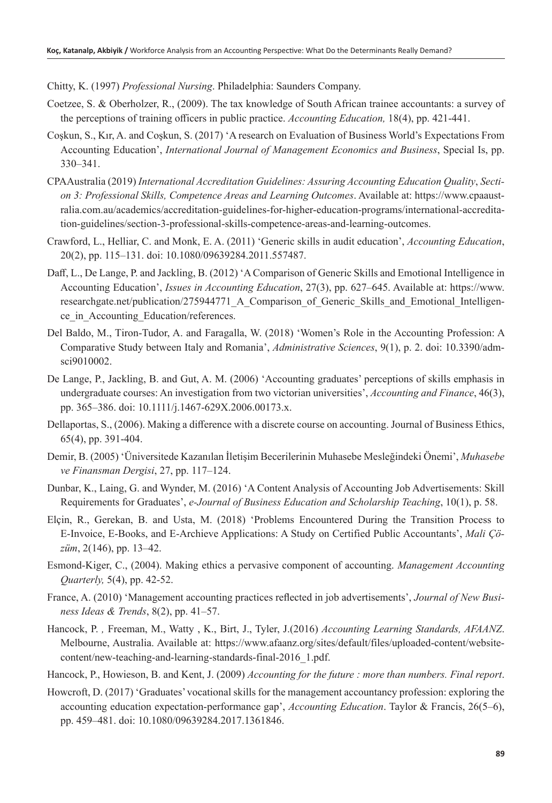Chitty, K. (1997) *Professional Nursing*. Philadelphia: Saunders Company.

- Coetzee, S. & Oberholzer, R., (2009). The tax knowledge of South African trainee accountants: a survey of the perceptions of training officers in public practice. *Accounting Education,* 18(4), pp. 421-441.
- Coşkun, S., Kır, A. and Coşkun, S. (2017) 'A research on Evaluation of Business World's Expectations From Accounting Education', *International Journal of Management Economics and Business*, Special Is, pp. 330–341.
- CPAAustralia (2019) *International Accreditation Guidelines: Assuring Accounting Education Quality*, *Section 3: Professional Skills, Competence Areas and Learning Outcomes*. Available at: https://www.cpaaustralia.com.au/academics/accreditation-guidelines-for-higher-education-programs/international-accreditation-guidelines/section-3-professional-skills-competence-areas-and-learning-outcomes.
- Crawford, L., Helliar, C. and Monk, E. A. (2011) 'Generic skills in audit education', *Accounting Education*, 20(2), pp. 115–131. doi: 10.1080/09639284.2011.557487.
- Daff, L., De Lange, P. and Jackling, B. (2012) 'A Comparison of Generic Skills and Emotional Intelligence in Accounting Education', *Issues in Accounting Education*, 27(3), pp. 627–645. Available at: https://www. researchgate.net/publication/275944771\_A\_Comparison\_of\_Generic\_Skills\_and\_Emotional\_Intelligence in Accounting Education/references.
- Del Baldo, M., Tiron-Tudor, A. and Faragalla, W. (2018) 'Women's Role in the Accounting Profession: A Comparative Study between Italy and Romania', *Administrative Sciences*, 9(1), p. 2. doi: 10.3390/admsci9010002.
- De Lange, P., Jackling, B. and Gut, A. M. (2006) 'Accounting graduates' perceptions of skills emphasis in undergraduate courses: An investigation from two victorian universities', *Accounting and Finance*, 46(3), pp. 365–386. doi: 10.1111/j.1467-629X.2006.00173.x.
- Dellaportas, S., (2006). Making a difference with a discrete course on accounting. Journal of Business Ethics, 65(4), pp. 391-404.
- Demir, B. (2005) 'Üniversitede Kazanılan İletişim Becerilerinin Muhasebe Mesleğindeki Önemi', *Muhasebe ve Finansman Dergisi*, 27, pp. 117–124.
- Dunbar, K., Laing, G. and Wynder, M. (2016) 'A Content Analysis of Accounting Job Advertisements: Skill Requirements for Graduates', *e-Journal of Business Education and Scholarship Teaching*, 10(1), p. 58.
- Elçin, R., Gerekan, B. and Usta, M. (2018) 'Problems Encountered During the Transition Process to E-Invoice, E-Books, and E-Archieve Applications: A Study on Certified Public Accountants', *Mali Çözüm*, 2(146), pp. 13–42.
- Esmond-Kiger, C., (2004). Making ethics a pervasive component of accounting. *Management Accounting Quarterly,* 5(4), pp. 42-52.
- France, A. (2010) 'Management accounting practices reflected in job advertisements', *Journal of New Business Ideas & Trends*, 8(2), pp. 41–57.
- Hancock, P. *,* Freeman, M., Watty , K., Birt, J., Tyler, J.(2016) *Accounting Learning Standards, AFAANZ*. Melbourne, Australia. Available at: https://www.afaanz.org/sites/default/files/uploaded-content/websitecontent/new-teaching-and-learning-standards-final-2016\_1.pdf.
- Hancock, P., Howieson, B. and Kent, J. (2009) *Accounting for the future : more than numbers. Final report*.
- Howcroft, D. (2017) 'Graduates' vocational skills for the management accountancy profession: exploring the accounting education expectation-performance gap', *Accounting Education*. Taylor & Francis, 26(5–6), pp. 459–481. doi: 10.1080/09639284.2017.1361846.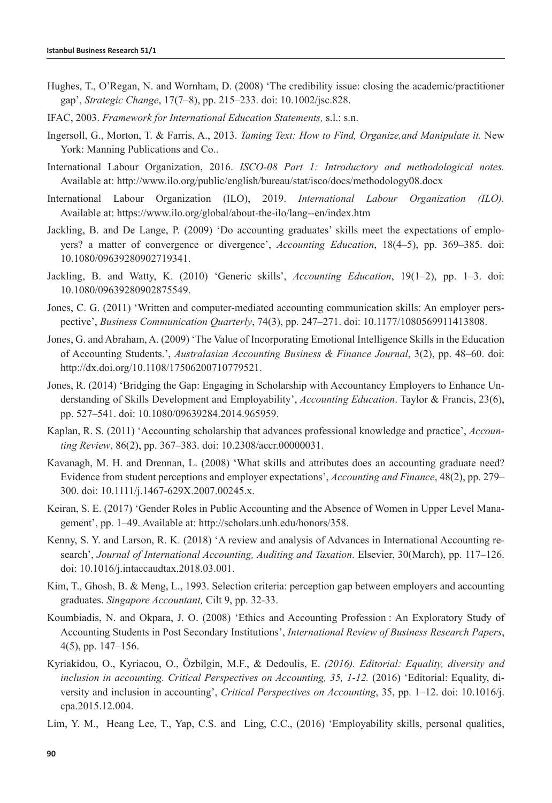- Hughes, T., O'Regan, N. and Wornham, D. (2008) 'The credibility issue: closing the academic/practitioner gap', *Strategic Change*, 17(7–8), pp. 215–233. doi: 10.1002/jsc.828.
- IFAC, 2003. *Framework for International Education Statements,* s.l.: s.n.
- Ingersoll, G., Morton, T. & Farris, A., 2013. *Taming Text: How to Find, Organize,and Manipulate it.* New York: Manning Publications and Co..
- International Labour Organization, 2016. *ISCO-08 Part 1: Introductory and methodological notes.*  Available at: http://www.ilo.org/public/english/bureau/stat/isco/docs/methodology08.docx
- International Labour Organization (ILO), 2019. *International Labour Organization (ILO).*  Available at: https://www.ilo.org/global/about-the-ilo/lang--en/index.htm
- Jackling, B. and De Lange, P. (2009) 'Do accounting graduates' skills meet the expectations of employers? a matter of convergence or divergence', *Accounting Education*, 18(4–5), pp. 369–385. doi: 10.1080/09639280902719341.
- Jackling, B. and Watty, K. (2010) 'Generic skills', *Accounting Education*, 19(1–2), pp. 1–3. doi: 10.1080/09639280902875549.
- Jones, C. G. (2011) 'Written and computer-mediated accounting communication skills: An employer perspective', *Business Communication Quarterly*, 74(3), pp. 247–271. doi: 10.1177/1080569911413808.
- Jones, G. and Abraham, A. (2009) 'The Value of Incorporating Emotional Intelligence Skills in the Education of Accounting Students.', *Australasian Accounting Business & Finance Journal*, 3(2), pp. 48–60. doi: http://dx.doi.org/10.1108/17506200710779521.
- Jones, R. (2014) 'Bridging the Gap: Engaging in Scholarship with Accountancy Employers to Enhance Understanding of Skills Development and Employability', *Accounting Education*. Taylor & Francis, 23(6), pp. 527–541. doi: 10.1080/09639284.2014.965959.
- Kaplan, R. S. (2011) 'Accounting scholarship that advances professional knowledge and practice', *Accounting Review*, 86(2), pp. 367–383. doi: 10.2308/accr.00000031.
- Kavanagh, M. H. and Drennan, L. (2008) 'What skills and attributes does an accounting graduate need? Evidence from student perceptions and employer expectations', *Accounting and Finance*, 48(2), pp. 279– 300. doi: 10.1111/j.1467-629X.2007.00245.x.
- Keiran, S. E. (2017) 'Gender Roles in Public Accounting and the Absence of Women in Upper Level Management', pp. 1–49. Available at: http://scholars.unh.edu/honors/358.
- Kenny, S. Y. and Larson, R. K. (2018) 'A review and analysis of Advances in International Accounting research', *Journal of International Accounting, Auditing and Taxation*. Elsevier, 30(March), pp. 117–126. doi: 10.1016/j.intaccaudtax.2018.03.001.
- Kim, T., Ghosh, B. & Meng, L., 1993. Selection criteria: perception gap between employers and accounting graduates. *Singapore Accountant,* Cilt 9, pp. 32-33.
- Koumbiadis, N. and Okpara, J. O. (2008) 'Ethics and Accounting Profession : An Exploratory Study of Accounting Students in Post Secondary Institutions', *International Review of Business Research Papers*, 4(5), pp. 147–156.
- Kyriakidou, O., Kyriacou, O., Özbilgin, M.F., & Dedoulis, E. *(2016). Editorial: Equality, diversity and inclusion in accounting. Critical Perspectives on Accounting, 35, 1-12.* (2016) 'Editorial: Equality, diversity and inclusion in accounting', *Critical Perspectives on Accounting*, 35, pp. 1–12. doi: 10.1016/j. cpa.2015.12.004.
- Lim, Y. M., Heang Lee, T., Yap, C.S. and Ling, C.C., (2016) 'Employability skills, personal qualities,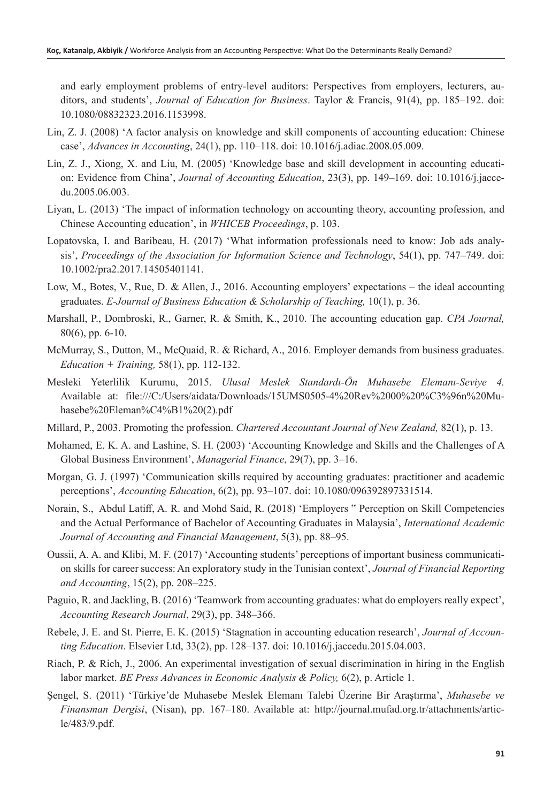and early employment problems of entry-level auditors: Perspectives from employers, lecturers, auditors, and students', *Journal of Education for Business*. Taylor & Francis, 91(4), pp. 185–192. doi: 10.1080/08832323.2016.1153998.

- Lin, Z. J. (2008) 'A factor analysis on knowledge and skill components of accounting education: Chinese case', *Advances in Accounting*, 24(1), pp. 110–118. doi: 10.1016/j.adiac.2008.05.009.
- Lin, Z. J., Xiong, X. and Liu, M. (2005) 'Knowledge base and skill development in accounting education: Evidence from China', *Journal of Accounting Education*, 23(3), pp. 149–169. doi: 10.1016/j.jaccedu.2005.06.003.
- Liyan, L. (2013) 'The impact of information technology on accounting theory, accounting profession, and Chinese Accounting education', in *WHICEB Proceedings*, p. 103.
- Lopatovska, I. and Baribeau, H. (2017) 'What information professionals need to know: Job ads analysis', *Proceedings of the Association for Information Science and Technology*, 54(1), pp. 747–749. doi: 10.1002/pra2.2017.14505401141.
- Low, M., Botes, V., Rue, D. & Allen, J., 2016. Accounting employers' expectations the ideal accounting graduates. *E-Journal of Business Education & Scholarship of Teaching,* 10(1), p. 36.
- Marshall, P., Dombroski, R., Garner, R. & Smith, K., 2010. The accounting education gap. *CPA Journal,*  80(6), pp. 6-10.
- McMurray, S., Dutton, M., McQuaid, R. & Richard, A., 2016. Employer demands from business graduates. *Education + Training,* 58(1), pp. 112-132.
- Mesleki Yeterlilik Kurumu, 2015. *Ulusal Meslek Standardı-Ön Muhasebe Elemanı-Seviye 4.*  Available at: file:///C:/Users/aidata/Downloads/15UMS0505-4%20Rev%2000%20%C3%96n%20Muhasebe%20Eleman%C4%B1%20(2).pdf
- Millard, P., 2003. Promoting the profession. *Chartered Accountant Journal of New Zealand,* 82(1), p. 13.
- Mohamed, E. K. A. and Lashine, S. H. (2003) 'Accounting Knowledge and Skills and the Challenges of A Global Business Environment', *Managerial Finance*, 29(7), pp. 3–16.
- Morgan, G. J. (1997) 'Communication skills required by accounting graduates: practitioner and academic perceptions', *Accounting Education*, 6(2), pp. 93–107. doi: 10.1080/096392897331514.
- Norain, S., Abdul Latiff, A. R. and Mohd Said, R. (2018) 'Employers " Perception on Skill Competencies and the Actual Performance of Bachelor of Accounting Graduates in Malaysia', *International Academic Journal of Accounting and Financial Management*, 5(3), pp. 88–95.
- Oussii, A. A. and Klibi, M. F. (2017) 'Accounting students' perceptions of important business communication skills for career success: An exploratory study in the Tunisian context', *Journal of Financial Reporting and Accounting*, 15(2), pp. 208–225.
- Paguio, R. and Jackling, B. (2016) 'Teamwork from accounting graduates: what do employers really expect', *Accounting Research Journal*, 29(3), pp. 348–366.
- Rebele, J. E. and St. Pierre, E. K. (2015) 'Stagnation in accounting education research', *Journal of Accounting Education*. Elsevier Ltd, 33(2), pp. 128–137. doi: 10.1016/j.jaccedu.2015.04.003.
- Riach, P. & Rich, J., 2006. An experimental investigation of sexual discrimination in hiring in the English labor market. *BE Press Advances in Economic Analysis & Policy,* 6(2), p. Article 1.
- Şengel, S. (2011) 'Türkiye'de Muhasebe Meslek Elemanı Talebi Üzerine Bir Araştırma', *Muhasebe ve Finansman Dergisi*, (Nisan), pp. 167–180. Available at: http://journal.mufad.org.tr/attachments/article/483/9.pdf.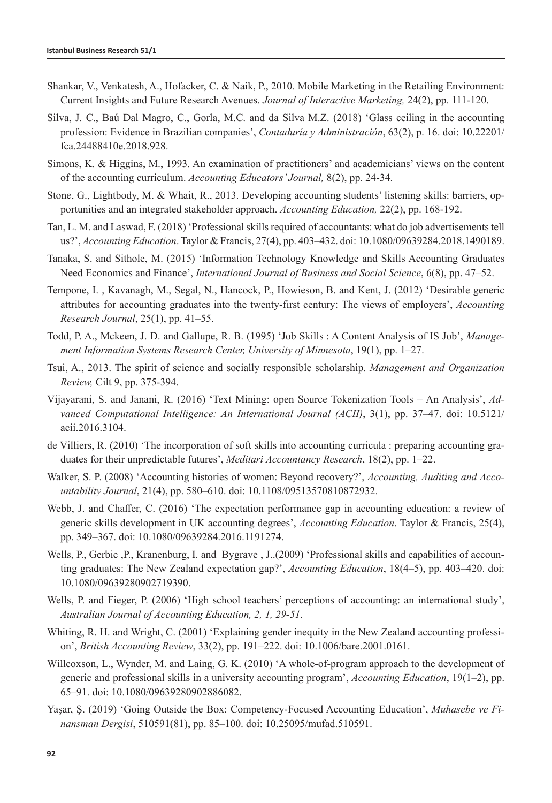- Shankar, V., Venkatesh, A., Hofacker, C. & Naik, P., 2010. Mobile Marketing in the Retailing Environment: Current Insights and Future Research Avenues. *Journal of Interactive Marketing,* 24(2), pp. 111-120.
- Silva, J. C., Baú Dal Magro, C., Gorla, M.C. and da Silva M.Z. (2018) 'Glass ceiling in the accounting profession: Evidence in Brazilian companies', *Contaduría y Administración*, 63(2), p. 16. doi: 10.22201/ fca.24488410e.2018.928.
- Simons, K. & Higgins, M., 1993. An examination of practitioners' and academicians' views on the content of the accounting curriculum. *Accounting Educators' Journal,* 8(2), pp. 24-34.
- Stone, G., Lightbody, M. & Whait, R., 2013. Developing accounting students' listening skills: barriers, opportunities and an integrated stakeholder approach. *Accounting Education,* 22(2), pp. 168-192.
- Tan, L. M. and Laswad, F. (2018) 'Professional skills required of accountants: what do job advertisements tell us?', *Accounting Education*. Taylor & Francis, 27(4), pp. 403–432. doi: 10.1080/09639284.2018.1490189.
- Tanaka, S. and Sithole, M. (2015) 'Information Technology Knowledge and Skills Accounting Graduates Need Economics and Finance', *International Journal of Business and Social Science*, 6(8), pp. 47–52.
- Tempone, I. , Kavanagh, M., Segal, N., Hancock, P., Howieson, B. and Kent, J. (2012) 'Desirable generic attributes for accounting graduates into the twenty-first century: The views of employers', *Accounting Research Journal*, 25(1), pp. 41–55.
- Todd, P. A., Mckeen, J. D. and Gallupe, R. B. (1995) 'Job Skills : A Content Analysis of IS Job', *Management Information Systems Research Center, University of Minnesota*, 19(1), pp. 1–27.
- Tsui, A., 2013. The spirit of science and socially responsible scholarship. *Management and Organization Review,* Cilt 9, pp. 375-394.
- Vijayarani, S. and Janani, R. (2016) 'Text Mining: open Source Tokenization Tools An Analysis', *Advanced Computational Intelligence: An International Journal (ACII)*, 3(1), pp. 37–47. doi: 10.5121/ acii.2016.3104.
- de Villiers, R. (2010) 'The incorporation of soft skills into accounting curricula : preparing accounting graduates for their unpredictable futures', *Meditari Accountancy Research*, 18(2), pp. 1–22.
- Walker, S. P. (2008) 'Accounting histories of women: Beyond recovery?', *Accounting, Auditing and Accountability Journal*, 21(4), pp. 580–610. doi: 10.1108/09513570810872932.
- Webb, J. and Chaffer, C. (2016) 'The expectation performance gap in accounting education: a review of generic skills development in UK accounting degrees', *Accounting Education*. Taylor & Francis, 25(4), pp. 349–367. doi: 10.1080/09639284.2016.1191274.
- Wells, P., Gerbic ,P., Kranenburg, I. and Bygrave , J..(2009) 'Professional skills and capabilities of accounting graduates: The New Zealand expectation gap?', *Accounting Education*, 18(4–5), pp. 403–420. doi: 10.1080/09639280902719390.
- Wells, P. and Fieger, P. (2006) 'High school teachers' perceptions of accounting: an international study', *Australian Journal of Accounting Education, 2, 1, 29-51*.
- Whiting, R. H. and Wright, C. (2001) 'Explaining gender inequity in the New Zealand accounting profession', *British Accounting Review*, 33(2), pp. 191–222. doi: 10.1006/bare.2001.0161.
- Willcoxson, L., Wynder, M. and Laing, G. K. (2010) 'A whole-of-program approach to the development of generic and professional skills in a university accounting program', *Accounting Education*, 19(1–2), pp. 65–91. doi: 10.1080/09639280902886082.
- Yaşar, Ş. (2019) 'Going Outside the Box: Competency-Focused Accounting Education', *Muhasebe ve Finansman Dergisi*, 510591(81), pp. 85–100. doi: 10.25095/mufad.510591.